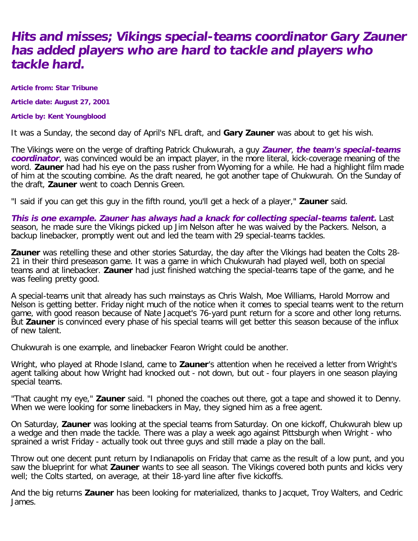## **Hits and misses; Vikings special-teams coordinator Gary Zauner has added players who are hard to tackle and players who tackle hard.**

**Article from: Star Tribune**

**Article date: August 27, 2001**

**Article by: Kent Youngblood**

It was a Sunday, the second day of April's NFL draft, and **Gary Zauner** was about to get his wish.

The Vikings were on the verge of drafting Patrick Chukwurah, a guy **Zauner**, **the team's special-teams coordinator**, was convinced would be an impact player, in the more literal, kick-coverage meaning of the word. **Zauner** had had his eye on the pass rusher from Wyoming for a while. He had a highlight film made of him at the scouting combine. As the draft neared, he got another tape of Chukwurah. On the Sunday of the draft, **Zauner** went to coach Dennis Green.

"I said if you can get this guy in the fifth round, you'll get a heck of a player," **Zauner** said.

**This is one example. Zauner has always had a knack for collecting special-teams talent.** Last season, he made sure the Vikings picked up Jim Nelson after he was waived by the Packers. Nelson, a backup linebacker, promptly went out and led the team with 29 special-teams tackles.

**Zauner** was retelling these and other stories Saturday, the day after the Vikings had beaten the Colts 28- 21 in their third preseason game. It was a game in which Chukwurah had played well, both on special teams and at linebacker. **Zauner** had just finished watching the special-teams tape of the game, and he was feeling pretty good.

A special-teams unit that already has such mainstays as Chris Walsh, Moe Williams, Harold Morrow and Nelson is getting better. Friday night much of the notice when it comes to special teams went to the return game, with good reason because of Nate Jacquet's 76-yard punt return for a score and other long returns. But **Zauner** is convinced every phase of his special teams will get better this season because of the influx of new talent.

Chukwurah is one example, and linebacker Fearon Wright could be another.

Wright, who played at Rhode Island, came to **Zauner**'s attention when he received a letter from Wright's agent talking about how Wright had knocked out - not down, but out - four players in one season playing special teams.

"That caught my eye," **Zauner** said. "I phoned the coaches out there, got a tape and showed it to Denny. When we were looking for some linebackers in May, they signed him as a free agent.

On Saturday, **Zauner** was looking at the special teams from Saturday. On one kickoff, Chukwurah blew up a wedge and then made the tackle. There was a play a week ago against Pittsburgh when Wright - who sprained a wrist Friday - actually took out three guys and still made a play on the ball.

Throw out one decent punt return by Indianapolis on Friday that came as the result of a low punt, and you saw the blueprint for what **Zauner** wants to see all season. The Vikings covered both punts and kicks very well; the Colts started, on average, at their 18-yard line after five kickoffs.

And the big returns **Zauner** has been looking for materialized, thanks to Jacquet, Troy Walters, and Cedric James.